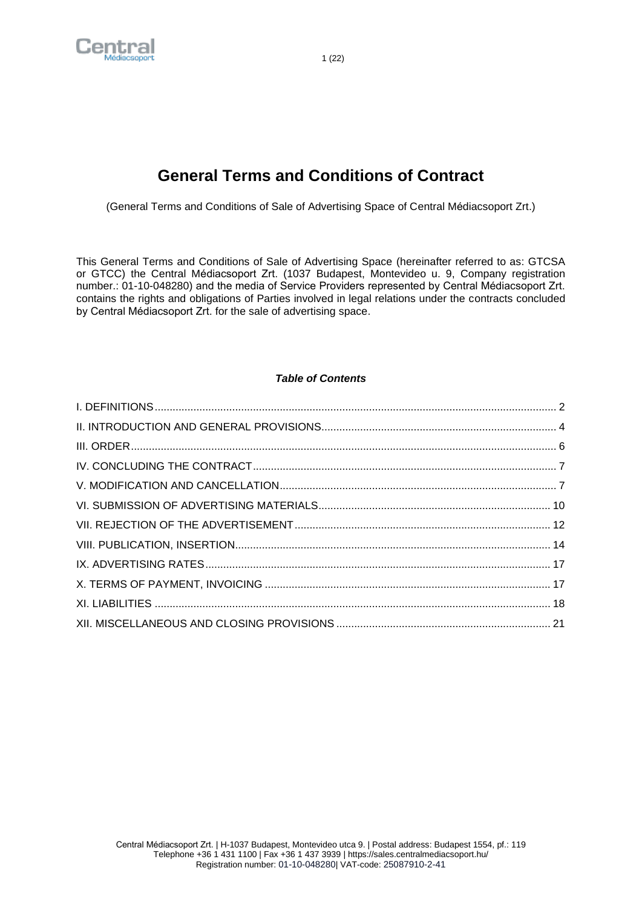

# **General Terms and Conditions of Contract**

(General Terms and Conditions of Sale of Advertising Space of Central Médiacsoport Zrt.)

This General Terms and Conditions of Sale of Advertising Space (hereinafter referred to as: GTCSA or GTCC) the Central Médiacsoport Zrt. (1037 Budapest, Montevideo u. 9, Company registration number.: 01-10-048280) and the media of Service Providers represented by Central Médiacsoport Zrt. contains the rights and obligations of Parties involved in legal relations under the contracts concluded by Central Médiacsoport Zrt. for the sale of advertising space.

# *Table of Contents*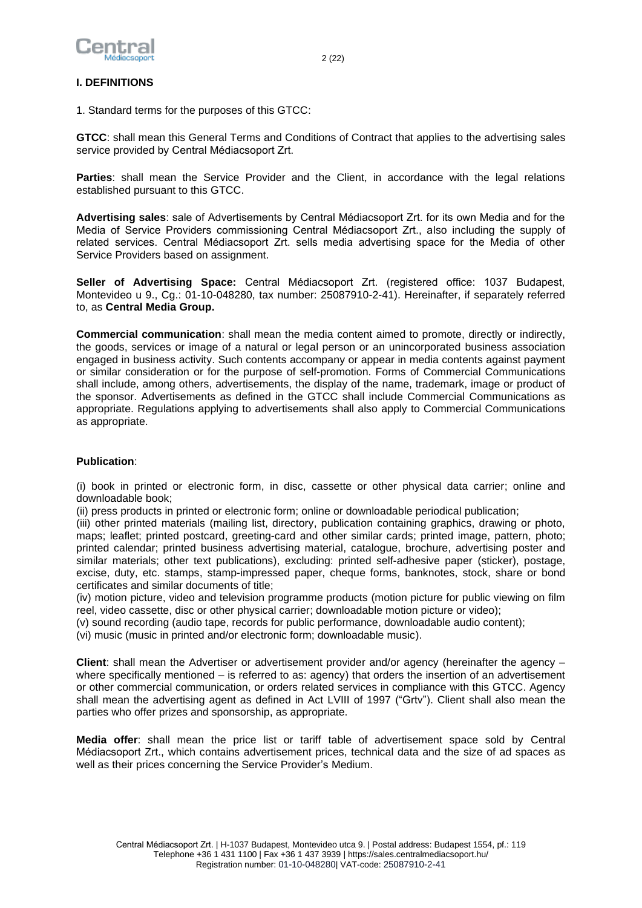

## <span id="page-1-0"></span>**I. DEFINITIONS**

1. Standard terms for the purposes of this GTCC:

**GTCC**: shall mean this General Terms and Conditions of Contract that applies to the advertising sales service provided by Central Médiacsoport Zrt.

**Parties**: shall mean the Service Provider and the Client, in accordance with the legal relations established pursuant to this GTCC.

**Advertising sales**: sale of Advertisements by Central Médiacsoport Zrt. for its own Media and for the Media of Service Providers commissioning Central Médiacsoport Zrt., also including the supply of related services. Central Médiacsoport Zrt. sells media advertising space for the Media of other Service Providers based on assignment.

**Seller of Advertising Space:** Central Médiacsoport Zrt. (registered office: 1037 Budapest, Montevideo u 9., Cg.: 01-10-048280, tax number: 25087910-2-41). Hereinafter, if separately referred to, as **Central Media Group.**

**Commercial communication**: shall mean the media content aimed to promote, directly or indirectly, the goods, services or image of a natural or legal person or an unincorporated business association engaged in business activity. Such contents accompany or appear in media contents against payment or similar consideration or for the purpose of self-promotion. Forms of Commercial Communications shall include, among others, advertisements, the display of the name, trademark, image or product of the sponsor. Advertisements as defined in the GTCC shall include Commercial Communications as appropriate. Regulations applying to advertisements shall also apply to Commercial Communications as appropriate.

## **Publication**:

(i) book in printed or electronic form, in disc, cassette or other physical data carrier; online and downloadable book;

(ii) press products in printed or electronic form; online or downloadable periodical publication;

(iii) other printed materials (mailing list, directory, publication containing graphics, drawing or photo, maps; leaflet; printed postcard, greeting-card and other similar cards; printed image, pattern, photo; printed calendar; printed business advertising material, catalogue, brochure, advertising poster and similar materials; other text publications), excluding: printed self-adhesive paper (sticker), postage, excise, duty, etc. stamps, stamp-impressed paper, cheque forms, banknotes, stock, share or bond certificates and similar documents of title;

(iv) motion picture, video and television programme products (motion picture for public viewing on film reel, video cassette, disc or other physical carrier; downloadable motion picture or video);

(v) sound recording (audio tape, records for public performance, downloadable audio content);

(vi) music (music in printed and/or electronic form; downloadable music).

**Client**: shall mean the Advertiser or advertisement provider and/or agency (hereinafter the agency – where specifically mentioned – is referred to as: agency) that orders the insertion of an advertisement or other commercial communication, or orders related services in compliance with this GTCC. Agency shall mean the advertising agent as defined in Act LVIII of 1997 ("Grtv"). Client shall also mean the parties who offer prizes and sponsorship, as appropriate.

**Media offer**: shall mean the price list or tariff table of advertisement space sold by Central Médiacsoport Zrt., which contains advertisement prices, technical data and the size of ad spaces as well as their prices concerning the Service Provider's Medium.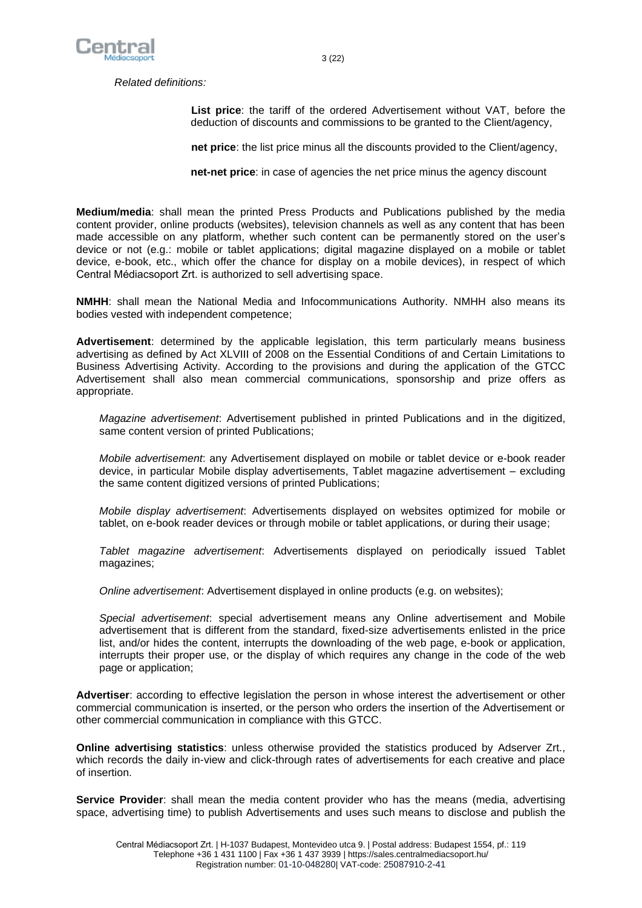

*Related definitions:*

**List price**: the tariff of the ordered Advertisement without VAT, before the deduction of discounts and commissions to be granted to the Client/agency,

**net price**: the list price minus all the discounts provided to the Client/agency,

**net-net price**: in case of agencies the net price minus the agency discount

**Medium/media**: shall mean the printed Press Products and Publications published by the media content provider, online products (websites), television channels as well as any content that has been made accessible on any platform, whether such content can be permanently stored on the user's device or not (e.g.: mobile or tablet applications; digital magazine displayed on a mobile or tablet device, e-book, etc., which offer the chance for display on a mobile devices), in respect of which Central Médiacsoport Zrt. is authorized to sell advertising space.

**NMHH**: shall mean the National Media and Infocommunications Authority. NMHH also means its bodies vested with independent competence;

**Advertisement**: determined by the applicable legislation, this term particularly means business advertising as defined by Act XLVIII of 2008 on the Essential Conditions of and Certain Limitations to Business Advertising Activity. According to the provisions and during the application of the GTCC Advertisement shall also mean commercial communications, sponsorship and prize offers as appropriate.

*Magazine advertisement*: Advertisement published in printed Publications and in the digitized, same content version of printed Publications;

*Mobile advertisement*: any Advertisement displayed on mobile or tablet device or e-book reader device, in particular Mobile display advertisements, Tablet magazine advertisement – excluding the same content digitized versions of printed Publications;

*Mobile display advertisement*: Advertisements displayed on websites optimized for mobile or tablet, on e-book reader devices or through mobile or tablet applications, or during their usage;

*Tablet magazine advertisement*: Advertisements displayed on periodically issued Tablet magazines;

*Online advertisement*: Advertisement displayed in online products (e.g. on websites);

*Special advertisement*: special advertisement means any Online advertisement and Mobile advertisement that is different from the standard, fixed-size advertisements enlisted in the price list, and/or hides the content, interrupts the downloading of the web page, e-book or application, interrupts their proper use, or the display of which requires any change in the code of the web page or application;

**Advertiser**: according to effective legislation the person in whose interest the advertisement or other commercial communication is inserted, or the person who orders the insertion of the Advertisement or other commercial communication in compliance with this GTCC.

**Online advertising statistics**: unless otherwise provided the statistics produced by Adserver Zrt., which records the daily in-view and click-through rates of advertisements for each creative and place of insertion.

**Service Provider**: shall mean the media content provider who has the means (media, advertising space, advertising time) to publish Advertisements and uses such means to disclose and publish the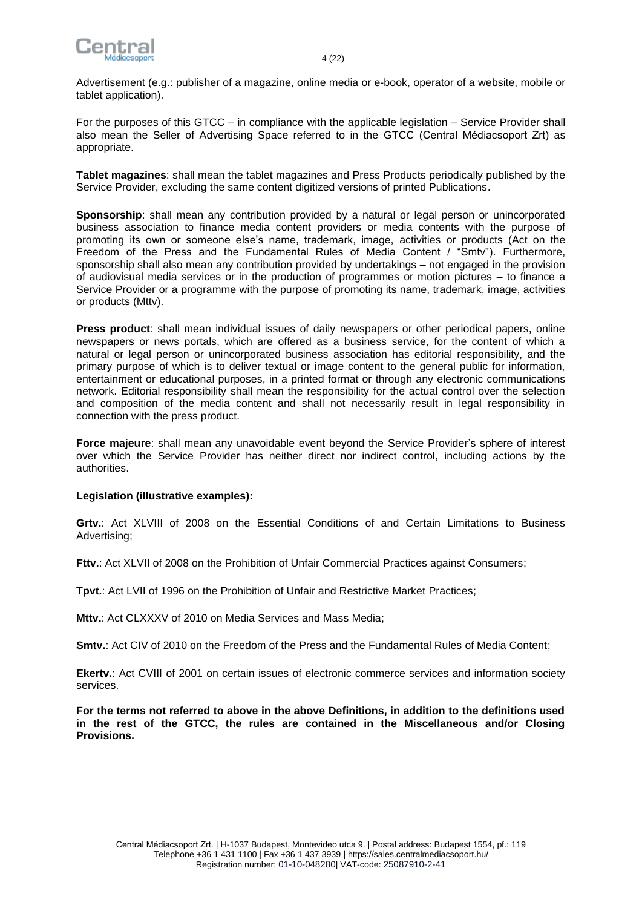

Advertisement (e.g.: publisher of a magazine, online media or e-book, operator of a website, mobile or tablet application).

For the purposes of this GTCC – in compliance with the applicable legislation – Service Provider shall also mean the Seller of Advertising Space referred to in the GTCC (Central Médiacsoport Zrt) as appropriate.

**Tablet magazines**: shall mean the tablet magazines and Press Products periodically published by the Service Provider, excluding the same content digitized versions of printed Publications.

**Sponsorship**: shall mean any contribution provided by a natural or legal person or unincorporated business association to finance media content providers or media contents with the purpose of promoting its own or someone else's name, trademark, image, activities or products (Act on the Freedom of the Press and the Fundamental Rules of Media Content / "Smtv"). Furthermore, sponsorship shall also mean any contribution provided by undertakings – not engaged in the provision of audiovisual media services or in the production of programmes or motion pictures – to finance a Service Provider or a programme with the purpose of promoting its name, trademark, image, activities or products (Mttv).

**Press product**: shall mean individual issues of daily newspapers or other periodical papers, online newspapers or news portals, which are offered as a business service, for the content of which a natural or legal person or unincorporated business association has editorial responsibility, and the primary purpose of which is to deliver textual or image content to the general public for information, entertainment or educational purposes, in a printed format or through any electronic communications network. Editorial responsibility shall mean the responsibility for the actual control over the selection and composition of the media content and shall not necessarily result in legal responsibility in connection with the press product.

**Force majeure**: shall mean any unavoidable event beyond the Service Provider's sphere of interest over which the Service Provider has neither direct nor indirect control, including actions by the authorities.

#### **Legislation (illustrative examples):**

**Grtv.**: Act XLVIII of 2008 on the Essential Conditions of and Certain Limitations to Business Advertising;

**Fttv.**: Act XLVII of 2008 on the Prohibition of Unfair Commercial Practices against Consumers;

**Tpvt.**: Act LVII of 1996 on the Prohibition of Unfair and Restrictive Market Practices;

**Mttv.**: Act CLXXXV of 2010 on Media Services and Mass Media;

**Smtv.**: Act CIV of 2010 on the Freedom of the Press and the Fundamental Rules of Media Content;

**Ekertv.**: Act CVIII of 2001 on certain issues of electronic commerce services and information society services.

<span id="page-3-0"></span>**For the terms not referred to above in the above Definitions, in addition to the definitions used in the rest of the GTCC, the rules are contained in the Miscellaneous and/or Closing Provisions.**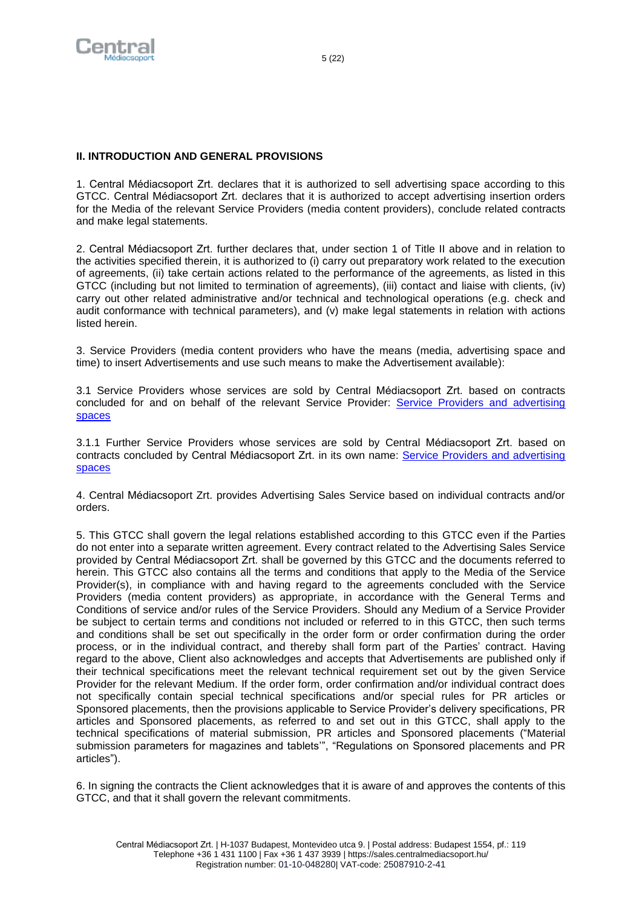

# **II. INTRODUCTION AND GENERAL PROVISIONS**

1. Central Médiacsoport Zrt. declares that it is authorized to sell advertising space according to this GTCC. Central Médiacsoport Zrt. declares that it is authorized to accept advertising insertion orders for the Media of the relevant Service Providers (media content providers), conclude related contracts and make legal statements.

2. Central Médiacsoport Zrt. further declares that, under section 1 of Title II above and in relation to the activities specified therein, it is authorized to (i) carry out preparatory work related to the execution of agreements, (ii) take certain actions related to the performance of the agreements, as listed in this GTCC (including but not limited to termination of agreements), (iii) contact and liaise with clients, (iv) carry out other related administrative and/or technical and technological operations (e.g. check and audit conformance with technical parameters), and (v) make legal statements in relation with actions listed herein.

3. Service Providers (media content providers who have the means (media, advertising space and time) to insert Advertisements and use such means to make the Advertisement available):

3.1 Service Providers whose services are sold by Central Médiacsoport Zrt. based on contracts concluded for and on behalf of the relevant Service Provider: [Service Providers and advertising](https://sales.centralmediacsoport.hu/uploads/data/fajlok/CMCS_GTAC_Attachment_3_1.pdf)  [spaces](https://sales.centralmediacsoport.hu/uploads/data/fajlok/CMCS_GTAC_Attachment_3_1.pdf)

3.1.1 Further Service Providers whose services are sold by Central Médiacsoport Zrt. based on contracts concluded by Central Médiacsoport Zrt. in its own name: Service [Providers and advertising](https://sales.centralmediacsoport.hu/uploads/data/fajlok/CMCS_GTAC_Attachment_3_1.pdf)  [spaces](https://sales.centralmediacsoport.hu/uploads/data/fajlok/CMCS_GTAC_Attachment_3_1.pdf)

4. Central Médiacsoport Zrt. provides Advertising Sales Service based on individual contracts and/or orders.

5. This GTCC shall govern the legal relations established according to this GTCC even if the Parties do not enter into a separate written agreement. Every contract related to the Advertising Sales Service provided by Central Médiacsoport Zrt. shall be governed by this GTCC and the documents referred to herein. This GTCC also contains all the terms and conditions that apply to the Media of the Service Provider(s), in compliance with and having regard to the agreements concluded with the Service Providers (media content providers) as appropriate, in accordance with the General Terms and Conditions of service and/or rules of the Service Providers. Should any Medium of a Service Provider be subject to certain terms and conditions not included or referred to in this GTCC, then such terms and conditions shall be set out specifically in the order form or order confirmation during the order process, or in the individual contract, and thereby shall form part of the Parties' contract. Having regard to the above, Client also acknowledges and accepts that Advertisements are published only if their technical specifications meet the relevant technical requirement set out by the given Service Provider for the relevant Medium. If the order form, order confirmation and/or individual contract does not specifically contain special technical specifications and/or special rules for PR articles or Sponsored placements, then the provisions applicable to Service Provider's delivery specifications, PR articles and Sponsored placements, as referred to and set out in this GTCC, shall apply to the technical specifications of material submission, PR articles and Sponsored placements ("Material submission parameters for magazines and tablets'", "Regulations on Sponsored placements and PR articles").

6. In signing the contracts the Client acknowledges that it is aware of and approves the contents of this GTCC, and that it shall govern the relevant commitments.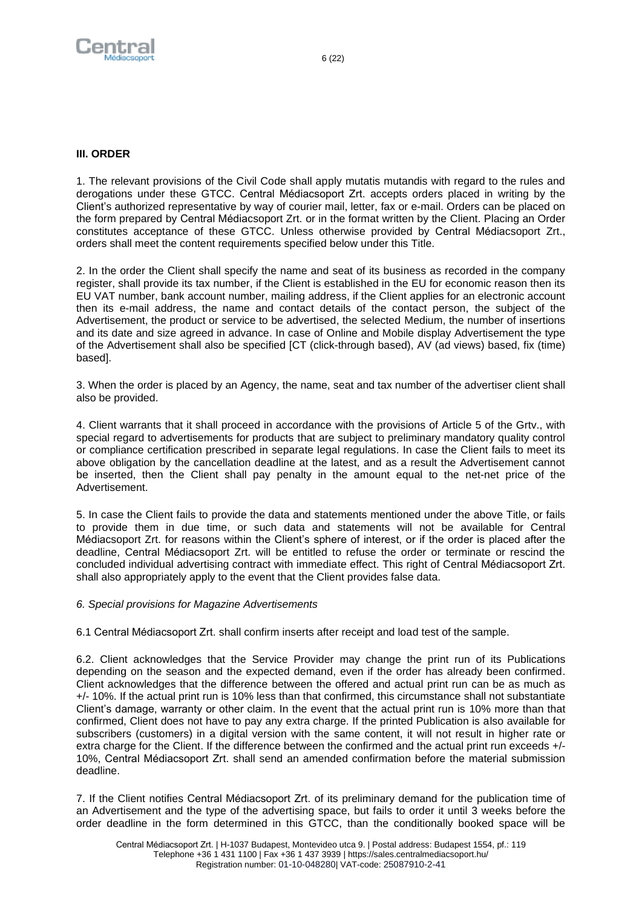<span id="page-5-0"></span>

## **III. ORDER**

1. The relevant provisions of the Civil Code shall apply mutatis mutandis with regard to the rules and derogations under these GTCC. Central Médiacsoport Zrt. accepts orders placed in writing by the Client's authorized representative by way of courier mail, letter, fax or e-mail. Orders can be placed on the form prepared by Central Médiacsoport Zrt. or in the format written by the Client. Placing an Order constitutes acceptance of these GTCC. Unless otherwise provided by Central Médiacsoport Zrt., orders shall meet the content requirements specified below under this Title.

2. In the order the Client shall specify the name and seat of its business as recorded in the company register, shall provide its tax number, if the Client is established in the EU for economic reason then its EU VAT number, bank account number, mailing address, if the Client applies for an electronic account then its e-mail address, the name and contact details of the contact person, the subject of the Advertisement, the product or service to be advertised, the selected Medium, the number of insertions and its date and size agreed in advance. In case of Online and Mobile display Advertisement the type of the Advertisement shall also be specified [CT (click-through based), AV (ad views) based, fix (time) based].

3. When the order is placed by an Agency, the name, seat and tax number of the advertiser client shall also be provided.

4. Client warrants that it shall proceed in accordance with the provisions of Article 5 of the Grtv., with special regard to advertisements for products that are subject to preliminary mandatory quality control or compliance certification prescribed in separate legal regulations. In case the Client fails to meet its above obligation by the cancellation deadline at the latest, and as a result the Advertisement cannot be inserted, then the Client shall pay penalty in the amount equal to the net-net price of the Advertisement.

5. In case the Client fails to provide the data and statements mentioned under the above Title, or fails to provide them in due time, or such data and statements will not be available for Central Médiacsoport Zrt. for reasons within the Client's sphere of interest, or if the order is placed after the deadline, Central Médiacsoport Zrt. will be entitled to refuse the order or terminate or rescind the concluded individual advertising contract with immediate effect. This right of Central Médiacsoport Zrt. shall also appropriately apply to the event that the Client provides false data.

#### *6. Special provisions for Magazine Advertisements*

6.1 Central Médiacsoport Zrt. shall confirm inserts after receipt and load test of the sample.

6.2. Client acknowledges that the Service Provider may change the print run of its Publications depending on the season and the expected demand, even if the order has already been confirmed. Client acknowledges that the difference between the offered and actual print run can be as much as +/- 10%. If the actual print run is 10% less than that confirmed, this circumstance shall not substantiate Client's damage, warranty or other claim. In the event that the actual print run is 10% more than that confirmed, Client does not have to pay any extra charge. If the printed Publication is also available for subscribers (customers) in a digital version with the same content, it will not result in higher rate or extra charge for the Client. If the difference between the confirmed and the actual print run exceeds +/- 10%, Central Médiacsoport Zrt. shall send an amended confirmation before the material submission deadline.

7. If the Client notifies Central Médiacsoport Zrt. of its preliminary demand for the publication time of an Advertisement and the type of the advertising space, but fails to order it until 3 weeks before the order deadline in the form determined in this GTCC, than the conditionally booked space will be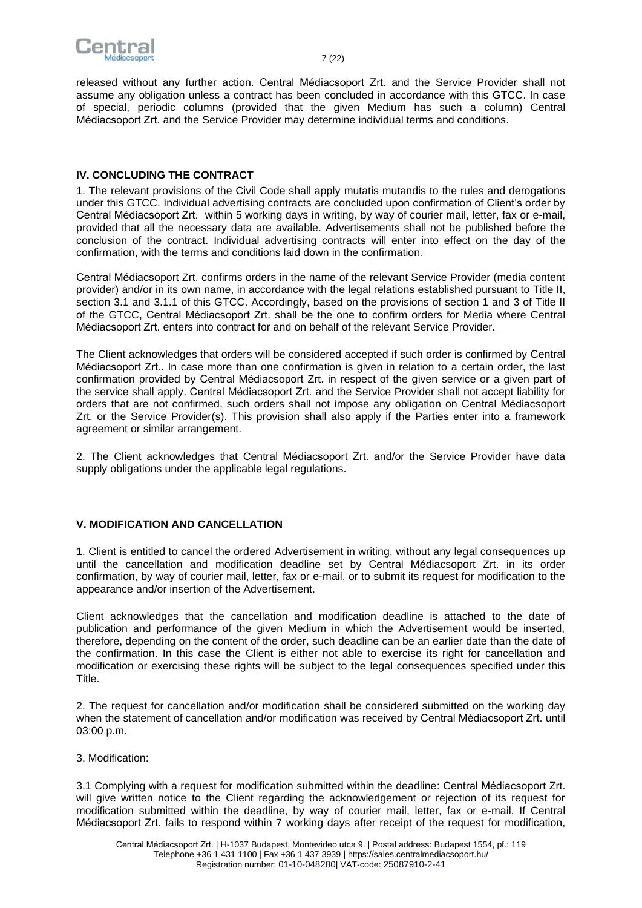

<span id="page-6-0"></span>released without any further action. Central Médiacsoport Zrt. and the Service Provider shall not assume any obligation unless a contract has been concluded in accordance with this GTCC. In case of special, periodic columns (provided that the given Medium has such a column) Central Médiacsoport Zrt. and the Service Provider may determine individual terms and conditions.

## **IV. CONCLUDING THE CONTRACT**

1. The relevant provisions of the Civil Code shall apply mutatis mutandis to the rules and derogations under this GTCC. Individual advertising contracts are concluded upon confirmation of Client's order by Central Médiacsoport Zrt. within 5 working days in writing, by way of courier mail, letter, fax or e-mail, provided that all the necessary data are available. Advertisements shall not be published before the conclusion of the contract. Individual advertising contracts will enter into effect on the day of the confirmation, with the terms and conditions laid down in the confirmation.

Central Médiacsoport Zrt. confirms orders in the name of the relevant Service Provider (media content provider) and/or in its own name, in accordance with the legal relations established pursuant to Title II, section 3.1 and 3.1.1 of this GTCC. Accordingly, based on the provisions of section 1 and 3 of Title II of the GTCC, Central Médiacsoport Zrt. shall be the one to confirm orders for Media where Central Médiacsoport Zrt. enters into contract for and on behalf of the relevant Service Provider.

The Client acknowledges that orders will be considered accepted if such order is confirmed by Central Médiacsoport Zrt.. In case more than one confirmation is given in relation to a certain order, the last confirmation provided by Central Médiacsoport Zrt. in respect of the given service or a given part of the service shall apply. Central Médiacsoport Zrt. and the Service Provider shall not accept liability for orders that are not confirmed, such orders shall not impose any obligation on Central Médiacsoport Zrt. or the Service Provider(s). This provision shall also apply if the Parties enter into a framework agreement or similar arrangement.

<span id="page-6-1"></span>2. The Client acknowledges that Central Médiacsoport Zrt. and/or the Service Provider have data supply obligations under the applicable legal regulations.

# **V. MODIFICATION AND CANCELLATION**

1. Client is entitled to cancel the ordered Advertisement in writing, without any legal consequences up until the cancellation and modification deadline set by Central Médiacsoport Zrt. in its order confirmation, by way of courier mail, letter, fax or e-mail, or to submit its request for modification to the appearance and/or insertion of the Advertisement.

Client acknowledges that the cancellation and modification deadline is attached to the date of publication and performance of the given Medium in which the Advertisement would be inserted, therefore, depending on the content of the order, such deadline can be an earlier date than the date of the confirmation. In this case the Client is either not able to exercise its right for cancellation and modification or exercising these rights will be subject to the legal consequences specified under this Title.

2. The request for cancellation and/or modification shall be considered submitted on the working day when the statement of cancellation and/or modification was received by Central Médiacsoport Zrt. until 03:00 p.m.

3. Modification:

3.1 Complying with a request for modification submitted within the deadline: Central Médiacsoport Zrt. will give written notice to the Client regarding the acknowledgement or rejection of its request for modification submitted within the deadline, by way of courier mail, letter, fax or e-mail. If Central Médiacsoport Zrt. fails to respond within 7 working days after receipt of the request for modification,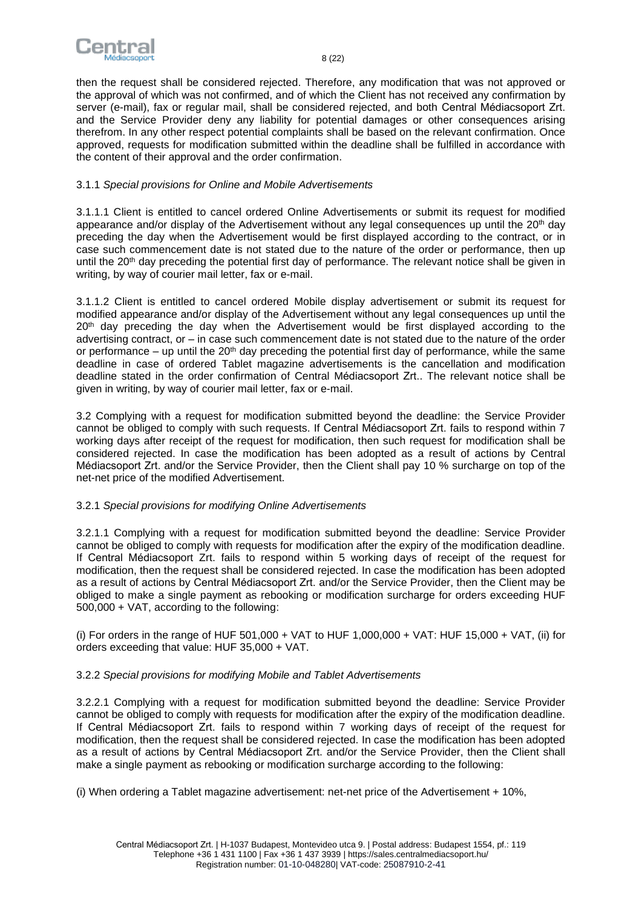

then the request shall be considered rejected. Therefore, any modification that was not approved or the approval of which was not confirmed, and of which the Client has not received any confirmation by server (e-mail), fax or regular mail, shall be considered rejected, and both Central Médiacsoport Zrt. and the Service Provider deny any liability for potential damages or other consequences arising therefrom. In any other respect potential complaints shall be based on the relevant confirmation. Once approved, requests for modification submitted within the deadline shall be fulfilled in accordance with the content of their approval and the order confirmation.

## 3.1.1 *Special provisions for Online and Mobile Advertisements*

3.1.1.1 Client is entitled to cancel ordered Online Advertisements or submit its request for modified appearance and/or display of the Advertisement without any legal consequences up until the 20<sup>th</sup> day preceding the day when the Advertisement would be first displayed according to the contract, or in case such commencement date is not stated due to the nature of the order or performance, then up until the 20<sup>th</sup> day preceding the potential first day of performance. The relevant notice shall be given in writing, by way of courier mail letter, fax or e-mail.

3.1.1.2 Client is entitled to cancel ordered Mobile display advertisement or submit its request for modified appearance and/or display of the Advertisement without any legal consequences up until the 20<sup>th</sup> day preceding the day when the Advertisement would be first displayed according to the advertising contract, or – in case such commencement date is not stated due to the nature of the order or performance – up until the  $20<sup>th</sup>$  day preceding the potential first day of performance, while the same deadline in case of ordered Tablet magazine advertisements is the cancellation and modification deadline stated in the order confirmation of Central Médiacsoport Zrt.. The relevant notice shall be given in writing, by way of courier mail letter, fax or e-mail.

3.2 Complying with a request for modification submitted beyond the deadline: the Service Provider cannot be obliged to comply with such requests. If Central Médiacsoport Zrt. fails to respond within 7 working days after receipt of the request for modification, then such request for modification shall be considered rejected. In case the modification has been adopted as a result of actions by Central Médiacsoport Zrt. and/or the Service Provider, then the Client shall pay 10 % surcharge on top of the net-net price of the modified Advertisement.

# 3.2.1 *Special provisions for modifying Online Advertisements*

3.2.1.1 Complying with a request for modification submitted beyond the deadline: Service Provider cannot be obliged to comply with requests for modification after the expiry of the modification deadline. If Central Médiacsoport Zrt. fails to respond within 5 working days of receipt of the request for modification, then the request shall be considered rejected. In case the modification has been adopted as a result of actions by Central Médiacsoport Zrt. and/or the Service Provider, then the Client may be obliged to make a single payment as rebooking or modification surcharge for orders exceeding HUF 500,000 + VAT, according to the following:

(i) For orders in the range of HUF 501,000 + VAT to HUF 1,000,000 + VAT: HUF 15,000 + VAT, (ii) for orders exceeding that value: HUF 35,000 + VAT.

# 3.2.2 *Special provisions for modifying Mobile and Tablet Advertisements*

3.2.2.1 Complying with a request for modification submitted beyond the deadline: Service Provider cannot be obliged to comply with requests for modification after the expiry of the modification deadline. If Central Médiacsoport Zrt. fails to respond within 7 working days of receipt of the request for modification, then the request shall be considered rejected. In case the modification has been adopted as a result of actions by Central Médiacsoport Zrt. and/or the Service Provider, then the Client shall make a single payment as rebooking or modification surcharge according to the following:

(i) When ordering a Tablet magazine advertisement: net-net price of the Advertisement + 10%,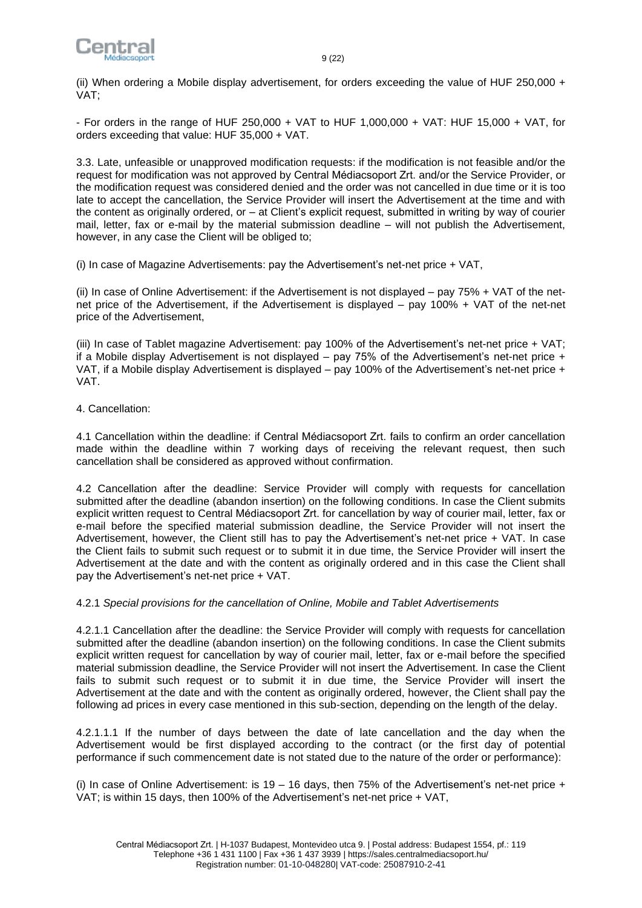

(ii) When ordering a Mobile display advertisement, for orders exceeding the value of HUF 250,000 + VAT;

- For orders in the range of HUF 250,000 + VAT to HUF 1,000,000 + VAT: HUF 15,000 + VAT, for orders exceeding that value: HUF 35,000 + VAT.

3.3. Late, unfeasible or unapproved modification requests: if the modification is not feasible and/or the request for modification was not approved by Central Médiacsoport Zrt. and/or the Service Provider, or the modification request was considered denied and the order was not cancelled in due time or it is too late to accept the cancellation, the Service Provider will insert the Advertisement at the time and with the content as originally ordered, or – at Client's explicit request, submitted in writing by way of courier mail, letter, fax or e-mail by the material submission deadline – will not publish the Advertisement, however, in any case the Client will be obliged to;

(i) In case of Magazine Advertisements: pay the Advertisement's net-net price + VAT,

(ii) In case of Online Advertisement: if the Advertisement is not displayed – pay 75% + VAT of the netnet price of the Advertisement, if the Advertisement is displayed – pay 100% + VAT of the net-net price of the Advertisement,

(iii) In case of Tablet magazine Advertisement: pay 100% of the Advertisement's net-net price + VAT; if a Mobile display Advertisement is not displayed – pay 75% of the Advertisement's net-net price + VAT, if a Mobile display Advertisement is displayed – pay 100% of the Advertisement's net-net price + VAT.

4. Cancellation:

4.1 Cancellation within the deadline: if Central Médiacsoport Zrt. fails to confirm an order cancellation made within the deadline within 7 working days of receiving the relevant request, then such cancellation shall be considered as approved without confirmation.

4.2 Cancellation after the deadline: Service Provider will comply with requests for cancellation submitted after the deadline (abandon insertion) on the following conditions. In case the Client submits explicit written request to Central Médiacsoport Zrt. for cancellation by way of courier mail, letter, fax or e-mail before the specified material submission deadline, the Service Provider will not insert the Advertisement, however, the Client still has to pay the Advertisement's net-net price + VAT. In case the Client fails to submit such request or to submit it in due time, the Service Provider will insert the Advertisement at the date and with the content as originally ordered and in this case the Client shall pay the Advertisement's net-net price + VAT.

4.2.1 *Special provisions for the cancellation of Online, Mobile and Tablet Advertisements*

4.2.1.1 Cancellation after the deadline: the Service Provider will comply with requests for cancellation submitted after the deadline (abandon insertion) on the following conditions. In case the Client submits explicit written request for cancellation by way of courier mail, letter, fax or e-mail before the specified material submission deadline, the Service Provider will not insert the Advertisement. In case the Client fails to submit such request or to submit it in due time, the Service Provider will insert the Advertisement at the date and with the content as originally ordered, however, the Client shall pay the following ad prices in every case mentioned in this sub-section, depending on the length of the delay.

4.2.1.1.1 If the number of days between the date of late cancellation and the day when the Advertisement would be first displayed according to the contract (or the first day of potential performance if such commencement date is not stated due to the nature of the order or performance):

(i) In case of Online Advertisement: is  $19 - 16$  days, then 75% of the Advertisement's net-net price + VAT; is within 15 days, then 100% of the Advertisement's net-net price + VAT,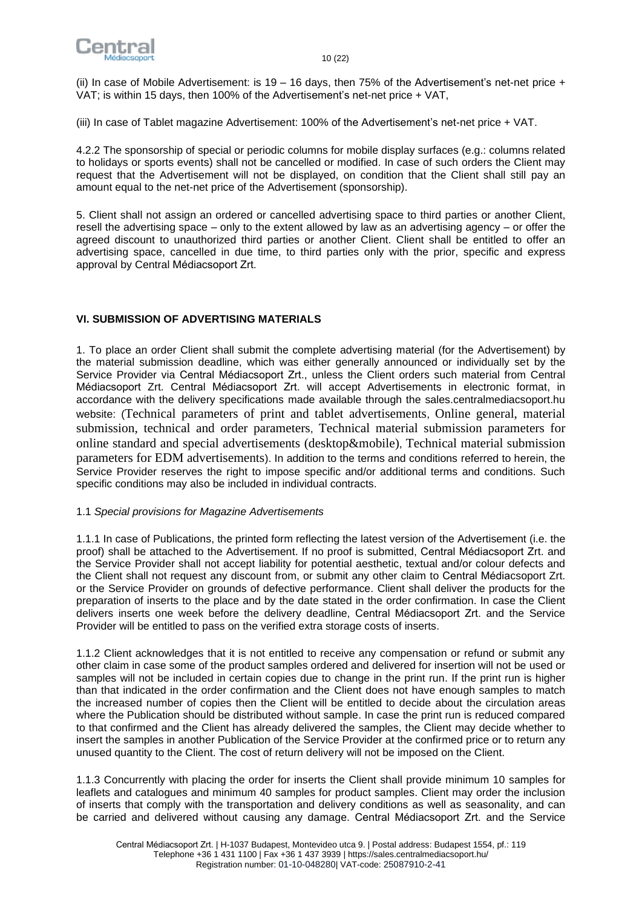

(ii) In case of Mobile Advertisement: is  $19 - 16$  days, then 75% of the Advertisement's net-net price + VAT; is within 15 days, then 100% of the Advertisement's net-net price + VAT,

(iii) In case of Tablet magazine Advertisement: 100% of the Advertisement's net-net price + VAT.

4.2.2 The sponsorship of special or periodic columns for mobile display surfaces (e.g.: columns related to holidays or sports events) shall not be cancelled or modified. In case of such orders the Client may request that the Advertisement will not be displayed, on condition that the Client shall still pay an amount equal to the net-net price of the Advertisement (sponsorship).

5. Client shall not assign an ordered or cancelled advertising space to third parties or another Client, resell the advertising space – only to the extent allowed by law as an advertising agency – or offer the agreed discount to unauthorized third parties or another Client. Client shall be entitled to offer an advertising space, cancelled in due time, to third parties only with the prior, specific and express approval by Central Médiacsoport Zrt.

# <span id="page-9-0"></span>**VI. SUBMISSION OF ADVERTISING MATERIALS**

1. To place an order Client shall submit the complete advertising material (for the Advertisement) by the material submission deadline, which was either generally announced or individually set by the Service Provider via Central Médiacsoport Zrt., unless the Client orders such material from Central Médiacsoport Zrt. Central Médiacsoport Zrt. will accept Advertisements in electronic format, in accordance with the delivery specifications made available through the sales.centralmediacsoport.hu website: ([Technical parameters of print and tablet advertisements](https://sales.centralmediacsoport.hu/uploads/2018/02/Central_technical_parameters_of_print_and_tablet_2018_ENG.pdf), [Online general, material](https://sales.centralmediacsoport.hu/uploads/data/fajlok/Online_General_Material_Submission_Technical_And_Order_Parameters.pdf)  submission, [technical and order parameters](https://sales.centralmediacsoport.hu/uploads/data/fajlok/Online_General_Material_Submission_Technical_And_Order_Parameters.pdf), [Technical material submission parameters for](https://sales.centralmediacsoport.hu/uploads/data/fajlok/Technical_Material_Submission_Parameters_Of_Standard_And_Special_Advertisements.pdf)  [online standard and special advertisements \(desktop&mobile\)](https://sales.centralmediacsoport.hu/uploads/data/fajlok/Technical_Material_Submission_Parameters_Of_Standard_And_Special_Advertisements.pdf), [Technical material submission](https://sales.centralmediacsoport.hu/uploads/data/fajlok/Technical_Material_Submission_Parameters_For_EDM_Advertisements.pdf)  [parameters for EDM advertisements](https://sales.centralmediacsoport.hu/uploads/data/fajlok/Technical_Material_Submission_Parameters_For_EDM_Advertisements.pdf)). In addition to the terms and conditions referred to herein, the Service Provider reserves the right to impose specific and/or additional terms and conditions. Such specific conditions may also be included in individual contracts.

#### 1.1 *Special provisions for Magazine Advertisements*

1.1.1 In case of Publications, the printed form reflecting the latest version of the Advertisement (i.e. the proof) shall be attached to the Advertisement. If no proof is submitted, Central Médiacsoport Zrt. and the Service Provider shall not accept liability for potential aesthetic, textual and/or colour defects and the Client shall not request any discount from, or submit any other claim to Central Médiacsoport Zrt. or the Service Provider on grounds of defective performance. Client shall deliver the products for the preparation of inserts to the place and by the date stated in the order confirmation. In case the Client delivers inserts one week before the delivery deadline, Central Médiacsoport Zrt. and the Service Provider will be entitled to pass on the verified extra storage costs of inserts.

1.1.2 Client acknowledges that it is not entitled to receive any compensation or refund or submit any other claim in case some of the product samples ordered and delivered for insertion will not be used or samples will not be included in certain copies due to change in the print run. If the print run is higher than that indicated in the order confirmation and the Client does not have enough samples to match the increased number of copies then the Client will be entitled to decide about the circulation areas where the Publication should be distributed without sample. In case the print run is reduced compared to that confirmed and the Client has already delivered the samples, the Client may decide whether to insert the samples in another Publication of the Service Provider at the confirmed price or to return any unused quantity to the Client. The cost of return delivery will not be imposed on the Client.

1.1.3 Concurrently with placing the order for inserts the Client shall provide minimum 10 samples for leaflets and catalogues and minimum 40 samples for product samples. Client may order the inclusion of inserts that comply with the transportation and delivery conditions as well as seasonality, and can be carried and delivered without causing any damage. Central Médiacsoport Zrt. and the Service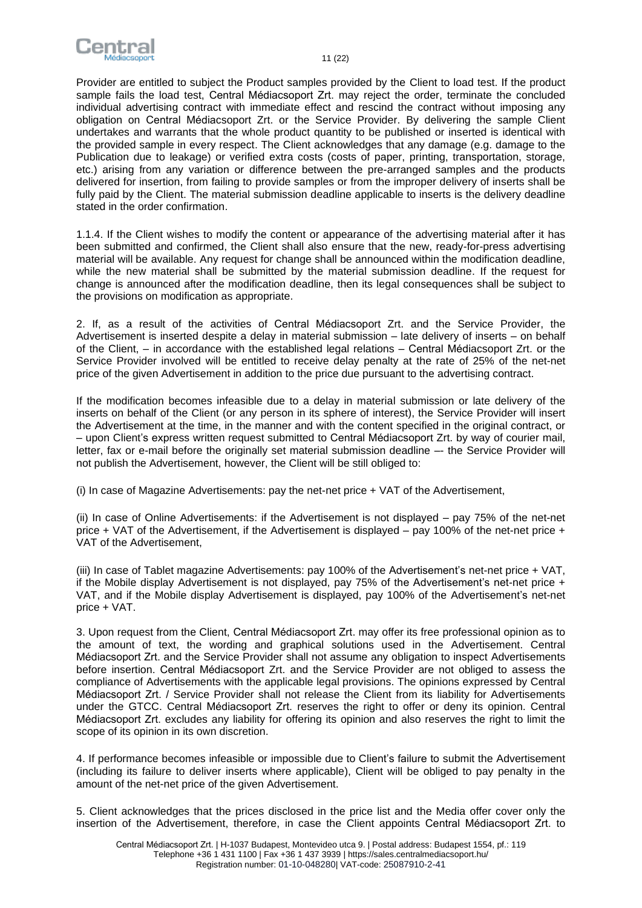

Provider are entitled to subject the Product samples provided by the Client to load test. If the product sample fails the load test, Central Médiacsoport Zrt. may reject the order, terminate the concluded individual advertising contract with immediate effect and rescind the contract without imposing any obligation on Central Médiacsoport Zrt. or the Service Provider. By delivering the sample Client undertakes and warrants that the whole product quantity to be published or inserted is identical with the provided sample in every respect. The Client acknowledges that any damage (e.g. damage to the Publication due to leakage) or verified extra costs (costs of paper, printing, transportation, storage, etc.) arising from any variation or difference between the pre-arranged samples and the products delivered for insertion, from failing to provide samples or from the improper delivery of inserts shall be fully paid by the Client. The material submission deadline applicable to inserts is the delivery deadline stated in the order confirmation.

1.1.4. If the Client wishes to modify the content or appearance of the advertising material after it has been submitted and confirmed, the Client shall also ensure that the new, ready-for-press advertising material will be available. Any request for change shall be announced within the modification deadline, while the new material shall be submitted by the material submission deadline. If the request for change is announced after the modification deadline, then its legal consequences shall be subject to the provisions on modification as appropriate.

2. If, as a result of the activities of Central Médiacsoport Zrt. and the Service Provider, the Advertisement is inserted despite a delay in material submission – late delivery of inserts – on behalf of the Client, – in accordance with the established legal relations – Central Médiacsoport Zrt. or the Service Provider involved will be entitled to receive delay penalty at the rate of 25% of the net-net price of the given Advertisement in addition to the price due pursuant to the advertising contract.

If the modification becomes infeasible due to a delay in material submission or late delivery of the inserts on behalf of the Client (or any person in its sphere of interest), the Service Provider will insert the Advertisement at the time, in the manner and with the content specified in the original contract, or – upon Client's express written request submitted to Central Médiacsoport Zrt. by way of courier mail, letter, fax or e-mail before the originally set material submission deadline –- the Service Provider will not publish the Advertisement, however, the Client will be still obliged to:

(i) In case of Magazine Advertisements: pay the net-net price + VAT of the Advertisement,

(ii) In case of Online Advertisements: if the Advertisement is not displayed – pay 75% of the net-net price + VAT of the Advertisement, if the Advertisement is displayed – pay 100% of the net-net price + VAT of the Advertisement,

(iii) In case of Tablet magazine Advertisements: pay 100% of the Advertisement's net-net price + VAT, if the Mobile display Advertisement is not displayed, pay 75% of the Advertisement's net-net price + VAT, and if the Mobile display Advertisement is displayed, pay 100% of the Advertisement's net-net price + VAT.

3. Upon request from the Client, Central Médiacsoport Zrt. may offer its free professional opinion as to the amount of text, the wording and graphical solutions used in the Advertisement. Central Médiacsoport Zrt. and the Service Provider shall not assume any obligation to inspect Advertisements before insertion. Central Médiacsoport Zrt. and the Service Provider are not obliged to assess the compliance of Advertisements with the applicable legal provisions. The opinions expressed by Central Médiacsoport Zrt. / Service Provider shall not release the Client from its liability for Advertisements under the GTCC. Central Médiacsoport Zrt. reserves the right to offer or deny its opinion. Central Médiacsoport Zrt. excludes any liability for offering its opinion and also reserves the right to limit the scope of its opinion in its own discretion.

4. If performance becomes infeasible or impossible due to Client's failure to submit the Advertisement (including its failure to deliver inserts where applicable), Client will be obliged to pay penalty in the amount of the net-net price of the given Advertisement.

5. Client acknowledges that the prices disclosed in the price list and the Media offer cover only the insertion of the Advertisement, therefore, in case the Client appoints Central Médiacsoport Zrt. to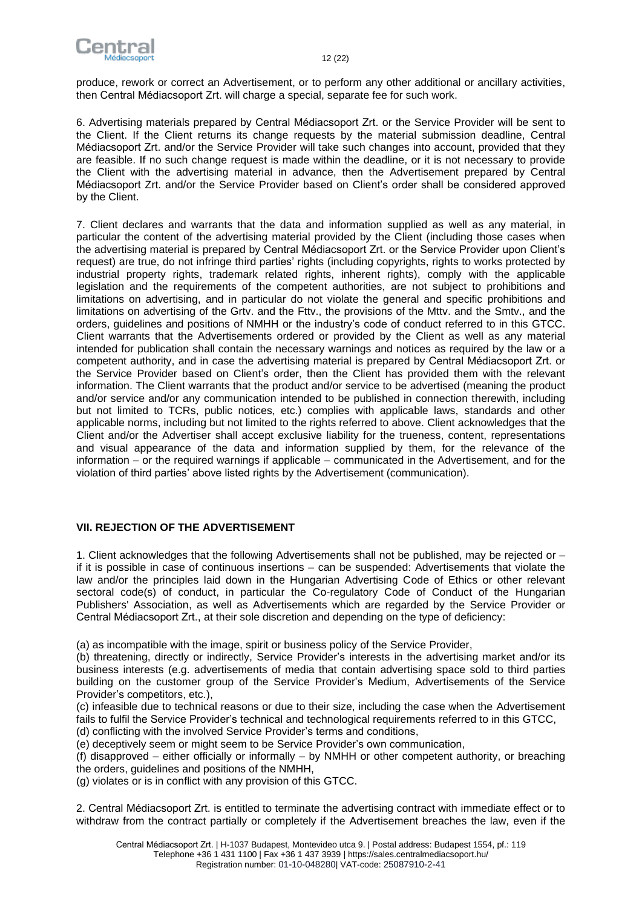

produce, rework or correct an Advertisement, or to perform any other additional or ancillary activities, then Central Médiacsoport Zrt. will charge a special, separate fee for such work.

6. Advertising materials prepared by Central Médiacsoport Zrt. or the Service Provider will be sent to the Client. If the Client returns its change requests by the material submission deadline, Central Médiacsoport Zrt. and/or the Service Provider will take such changes into account, provided that they are feasible. If no such change request is made within the deadline, or it is not necessary to provide the Client with the advertising material in advance, then the Advertisement prepared by Central Médiacsoport Zrt. and/or the Service Provider based on Client's order shall be considered approved by the Client.

7. Client declares and warrants that the data and information supplied as well as any material, in particular the content of the advertising material provided by the Client (including those cases when the advertising material is prepared by Central Médiacsoport Zrt. or the Service Provider upon Client's request) are true, do not infringe third parties' rights (including copyrights, rights to works protected by industrial property rights, trademark related rights, inherent rights), comply with the applicable legislation and the requirements of the competent authorities, are not subject to prohibitions and limitations on advertising, and in particular do not violate the general and specific prohibitions and limitations on advertising of the Grtv. and the Fttv., the provisions of the Mttv. and the Smtv., and the orders, guidelines and positions of NMHH or the industry's code of conduct referred to in this GTCC. Client warrants that the Advertisements ordered or provided by the Client as well as any material intended for publication shall contain the necessary warnings and notices as required by the law or a competent authority, and in case the advertising material is prepared by Central Médiacsoport Zrt. or the Service Provider based on Client's order, then the Client has provided them with the relevant information. The Client warrants that the product and/or service to be advertised (meaning the product and/or service and/or any communication intended to be published in connection therewith, including but not limited to TCRs, public notices, etc.) complies with applicable laws, standards and other applicable norms, including but not limited to the rights referred to above. Client acknowledges that the Client and/or the Advertiser shall accept exclusive liability for the trueness, content, representations and visual appearance of the data and information supplied by them, for the relevance of the information – or the required warnings if applicable – communicated in the Advertisement, and for the violation of third parties' above listed rights by the Advertisement (communication).

# <span id="page-11-0"></span>**VII. REJECTION OF THE ADVERTISEMENT**

1. Client acknowledges that the following Advertisements shall not be published, may be rejected or – if it is possible in case of continuous insertions – can be suspended: Advertisements that violate the law and/or the principles laid down in the Hungarian Advertising Code of Ethics or other relevant sectoral code(s) of conduct, in particular the Co-regulatory Code of Conduct of the Hungarian Publishers' Association, as well as Advertisements which are regarded by the Service Provider or Central Médiacsoport Zrt., at their sole discretion and depending on the type of deficiency:

(a) as incompatible with the image, spirit or business policy of the Service Provider,

(b) threatening, directly or indirectly, Service Provider's interests in the advertising market and/or its business interests (e.g. advertisements of media that contain advertising space sold to third parties building on the customer group of the Service Provider's Medium, Advertisements of the Service Provider's competitors, etc.),

(c) infeasible due to technical reasons or due to their size, including the case when the Advertisement fails to fulfil the Service Provider's technical and technological requirements referred to in this GTCC, (d) conflicting with the involved Service Provider's terms and conditions,

(e) deceptively seem or might seem to be Service Provider's own communication,

(f) disapproved – either officially or informally – by NMHH or other competent authority, or breaching the orders, guidelines and positions of the NMHH,

(g) violates or is in conflict with any provision of this GTCC.

2. Central Médiacsoport Zrt. is entitled to terminate the advertising contract with immediate effect or to withdraw from the contract partially or completely if the Advertisement breaches the law, even if the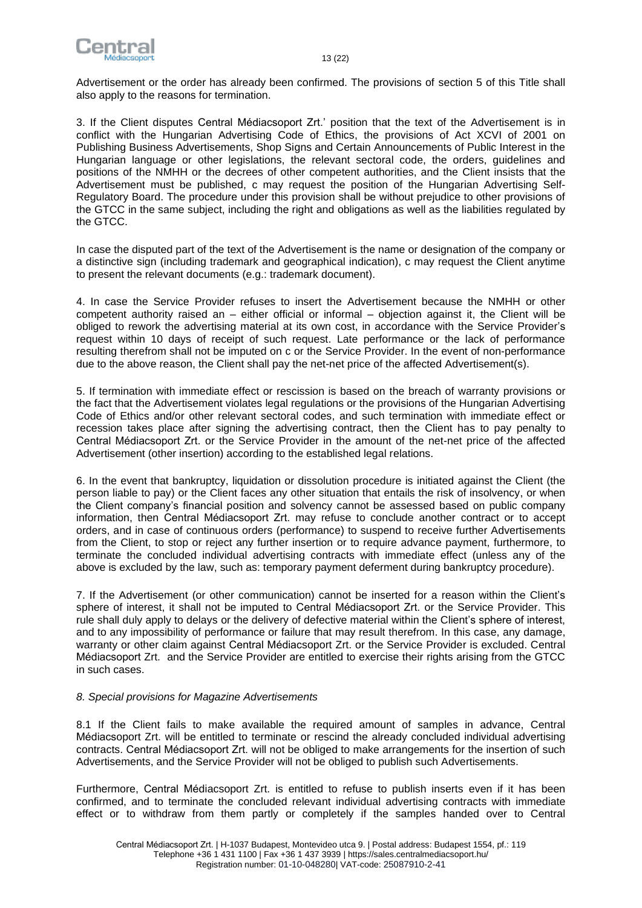

Advertisement or the order has already been confirmed. The provisions of section 5 of this Title shall also apply to the reasons for termination.

3. If the Client disputes Central Médiacsoport Zrt.' position that the text of the Advertisement is in conflict with the Hungarian Advertising Code of Ethics, the provisions of Act XCVI of 2001 on Publishing Business Advertisements, Shop Signs and Certain Announcements of Public Interest in the Hungarian language or other legislations, the relevant sectoral code, the orders, guidelines and positions of the NMHH or the decrees of other competent authorities, and the Client insists that the Advertisement must be published, c may request the position of the Hungarian Advertising Self-Regulatory Board. The procedure under this provision shall be without prejudice to other provisions of the GTCC in the same subject, including the right and obligations as well as the liabilities regulated by the GTCC.

In case the disputed part of the text of the Advertisement is the name or designation of the company or a distinctive sign (including trademark and geographical indication), c may request the Client anytime to present the relevant documents (e.g.: trademark document).

4. In case the Service Provider refuses to insert the Advertisement because the NMHH or other competent authority raised an – either official or informal – objection against it, the Client will be obliged to rework the advertising material at its own cost, in accordance with the Service Provider's request within 10 days of receipt of such request. Late performance or the lack of performance resulting therefrom shall not be imputed on c or the Service Provider. In the event of non-performance due to the above reason, the Client shall pay the net-net price of the affected Advertisement(s).

5. If termination with immediate effect or rescission is based on the breach of warranty provisions or the fact that the Advertisement violates legal regulations or the provisions of the Hungarian Advertising Code of Ethics and/or other relevant sectoral codes, and such termination with immediate effect or recession takes place after signing the advertising contract, then the Client has to pay penalty to Central Médiacsoport Zrt. or the Service Provider in the amount of the net-net price of the affected Advertisement (other insertion) according to the established legal relations.

6. In the event that bankruptcy, liquidation or dissolution procedure is initiated against the Client (the person liable to pay) or the Client faces any other situation that entails the risk of insolvency, or when the Client company's financial position and solvency cannot be assessed based on public company information, then Central Médiacsoport Zrt. may refuse to conclude another contract or to accept orders, and in case of continuous orders (performance) to suspend to receive further Advertisements from the Client, to stop or reject any further insertion or to require advance payment, furthermore, to terminate the concluded individual advertising contracts with immediate effect (unless any of the above is excluded by the law, such as: temporary payment deferment during bankruptcy procedure).

7. If the Advertisement (or other communication) cannot be inserted for a reason within the Client's sphere of interest, it shall not be imputed to Central Médiacsoport Zrt. or the Service Provider. This rule shall duly apply to delays or the delivery of defective material within the Client's sphere of interest, and to any impossibility of performance or failure that may result therefrom. In this case, any damage, warranty or other claim against Central Médiacsoport Zrt. or the Service Provider is excluded. Central Médiacsoport Zrt. and the Service Provider are entitled to exercise their rights arising from the GTCC in such cases.

#### *8. Special provisions for Magazine Advertisements*

8.1 If the Client fails to make available the required amount of samples in advance, Central Médiacsoport Zrt. will be entitled to terminate or rescind the already concluded individual advertising contracts. Central Médiacsoport Zrt. will not be obliged to make arrangements for the insertion of such Advertisements, and the Service Provider will not be obliged to publish such Advertisements.

Furthermore, Central Médiacsoport Zrt. is entitled to refuse to publish inserts even if it has been confirmed, and to terminate the concluded relevant individual advertising contracts with immediate effect or to withdraw from them partly or completely if the samples handed over to Central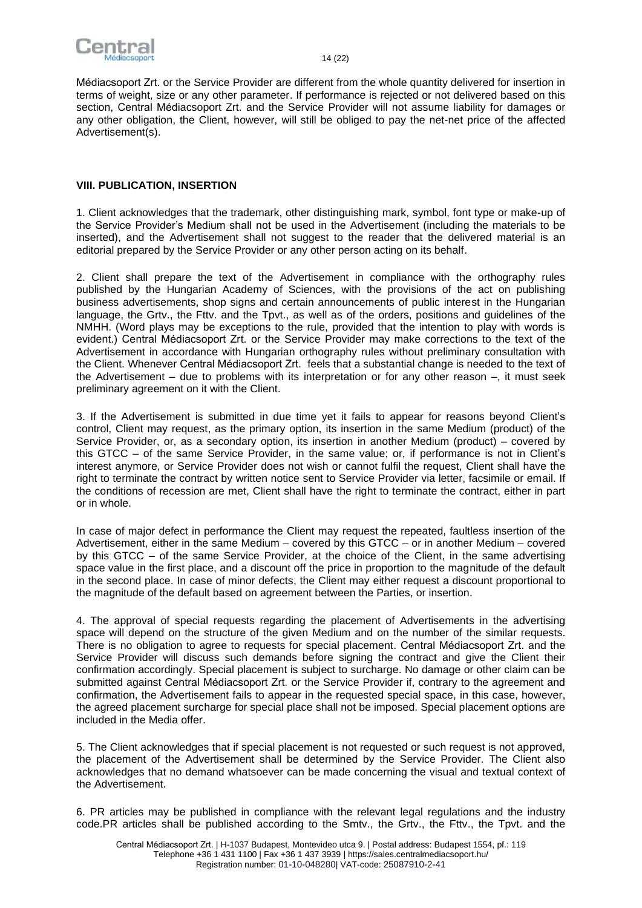

<span id="page-13-0"></span>Médiacsoport Zrt. or the Service Provider are different from the whole quantity delivered for insertion in terms of weight, size or any other parameter. If performance is rejected or not delivered based on this section, Central Médiacsoport Zrt. and the Service Provider will not assume liability for damages or any other obligation, the Client, however, will still be obliged to pay the net-net price of the affected Advertisement(s).

#### **VIII. PUBLICATION, INSERTION**

1. Client acknowledges that the trademark, other distinguishing mark, symbol, font type or make-up of the Service Provider's Medium shall not be used in the Advertisement (including the materials to be inserted), and the Advertisement shall not suggest to the reader that the delivered material is an editorial prepared by the Service Provider or any other person acting on its behalf.

2. Client shall prepare the text of the Advertisement in compliance with the orthography rules published by the Hungarian Academy of Sciences, with the provisions of the act on publishing business advertisements, shop signs and certain announcements of public interest in the Hungarian language, the Grtv., the Fttv. and the Tpvt., as well as of the orders, positions and guidelines of the NMHH. (Word plays may be exceptions to the rule, provided that the intention to play with words is evident.) Central Médiacsoport Zrt. or the Service Provider may make corrections to the text of the Advertisement in accordance with Hungarian orthography rules without preliminary consultation with the Client. Whenever Central Médiacsoport Zrt. feels that a substantial change is needed to the text of the Advertisement – due to problems with its interpretation or for any other reason –, it must seek preliminary agreement on it with the Client.

3. If the Advertisement is submitted in due time yet it fails to appear for reasons beyond Client's control, Client may request, as the primary option, its insertion in the same Medium (product) of the Service Provider, or, as a secondary option, its insertion in another Medium (product) – covered by this GTCC – of the same Service Provider, in the same value; or, if performance is not in Client's interest anymore, or Service Provider does not wish or cannot fulfil the request, Client shall have the right to terminate the contract by written notice sent to Service Provider via letter, facsimile or email. If the conditions of recession are met, Client shall have the right to terminate the contract, either in part or in whole.

In case of major defect in performance the Client may request the repeated, faultless insertion of the Advertisement, either in the same Medium – covered by this GTCC – or in another Medium – covered by this GTCC – of the same Service Provider, at the choice of the Client, in the same advertising space value in the first place, and a discount off the price in proportion to the magnitude of the default in the second place. In case of minor defects, the Client may either request a discount proportional to the magnitude of the default based on agreement between the Parties, or insertion.

4. The approval of special requests regarding the placement of Advertisements in the advertising space will depend on the structure of the given Medium and on the number of the similar requests. There is no obligation to agree to requests for special placement. Central Médiacsoport Zrt. and the Service Provider will discuss such demands before signing the contract and give the Client their confirmation accordingly. Special placement is subject to surcharge. No damage or other claim can be submitted against Central Médiacsoport Zrt. or the Service Provider if, contrary to the agreement and confirmation, the Advertisement fails to appear in the requested special space, in this case, however, the agreed placement surcharge for special place shall not be imposed. Special placement options are included in the Media offer.

5. The Client acknowledges that if special placement is not requested or such request is not approved, the placement of the Advertisement shall be determined by the Service Provider. The Client also acknowledges that no demand whatsoever can be made concerning the visual and textual context of the Advertisement.

6. PR articles may be published in compliance with the relevant legal regulations and the industry code.PR articles shall be published according to the Smtv., the Grtv., the Fttv., the Tpvt. and the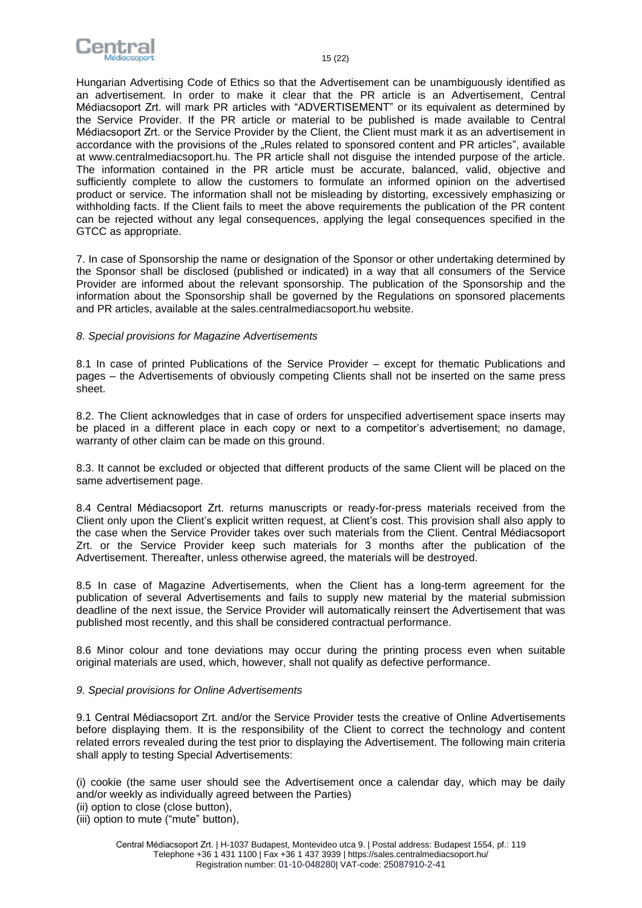

Hungarian Advertising Code of Ethics so that the Advertisement can be unambiguously identified as an advertisement. In order to make it clear that the PR article is an Advertisement, Central Médiacsoport Zrt. will mark PR articles with "ADVERTISEMENT" or its equivalent as determined by the Service Provider. If the PR article or material to be published is made available to Central Médiacsoport Zrt. or the Service Provider by the Client, the Client must mark it as an advertisement in accordance with the provisions of the "Rules [related to sponsored content and PR articles"](https://sales.centralmediacsoport.hu/uploads/data/fajlok/Central_Rules_Related_To_Sponsored_Content_And_Pr_Articles_viii_6b_b.pdf), available at www.centralmediacsoport.hu. The PR article shall not disguise the intended purpose of the article. The information contained in the PR article must be accurate, balanced, valid, objective and sufficiently complete to allow the customers to formulate an informed opinion on the advertised product or service. The information shall not be misleading by distorting, excessively emphasizing or withholding facts. If the Client fails to meet the above requirements the publication of the PR content can be rejected without any legal consequences, applying the legal consequences specified in the GTCC as appropriate.

7. In case of Sponsorship the name or designation of the Sponsor or other undertaking determined by the Sponsor shall be disclosed (published or indicated) in a way that all consumers of the Service Provider are informed about the relevant sponsorship. The publication of the Sponsorship and the information about the Sponsorship shall be governed by the Regulations on sponsored placements and PR articles, available at the sales.centralmediacsoport.hu website.

#### *8. Special provisions for Magazine Advertisements*

8.1 In case of printed Publications of the Service Provider – except for thematic Publications and pages – the Advertisements of obviously competing Clients shall not be inserted on the same press sheet.

8.2. The Client acknowledges that in case of orders for unspecified advertisement space inserts may be placed in a different place in each copy or next to a competitor's advertisement; no damage, warranty of other claim can be made on this ground.

8.3. It cannot be excluded or objected that different products of the same Client will be placed on the same advertisement page.

8.4 Central Médiacsoport Zrt. returns manuscripts or ready-for-press materials received from the Client only upon the Client's explicit written request, at Client's cost. This provision shall also apply to the case when the Service Provider takes over such materials from the Client. Central Médiacsoport Zrt. or the Service Provider keep such materials for 3 months after the publication of the Advertisement. Thereafter, unless otherwise agreed, the materials will be destroyed.

8.5 In case of Magazine Advertisements, when the Client has a long-term agreement for the publication of several Advertisements and fails to supply new material by the material submission deadline of the next issue, the Service Provider will automatically reinsert the Advertisement that was published most recently, and this shall be considered contractual performance.

8.6 Minor colour and tone deviations may occur during the printing process even when suitable original materials are used, which, however, shall not qualify as defective performance.

#### *9. Special provisions for Online Advertisements*

9.1 Central Médiacsoport Zrt. and/or the Service Provider tests the creative of Online Advertisements before displaying them. It is the responsibility of the Client to correct the technology and content related errors revealed during the test prior to displaying the Advertisement. The following main criteria shall apply to testing Special Advertisements:

(i) cookie (the same user should see the Advertisement once a calendar day, which may be daily and/or weekly as individually agreed between the Parties)

(iii) option to mute ("mute" button),

<sup>(</sup>ii) option to close (close button),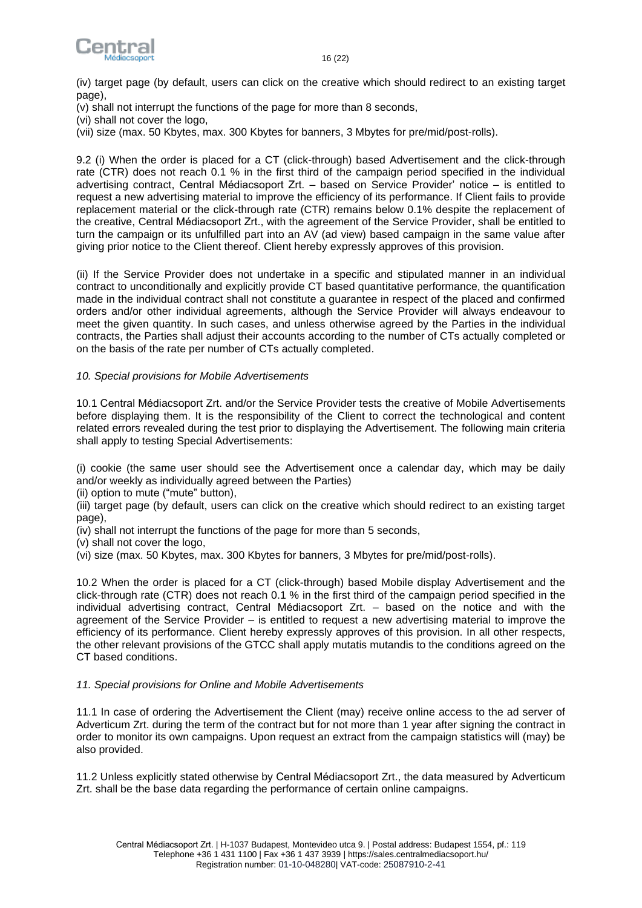



(iv) target page (by default, users can click on the creative which should redirect to an existing target page),

- (v) shall not interrupt the functions of the page for more than 8 seconds,
- (vi) shall not cover the logo,
- (vii) size (max. 50 Kbytes, max. 300 Kbytes for banners, 3 Mbytes for pre/mid/post-rolls).

9.2 (i) When the order is placed for a CT (click-through) based Advertisement and the click-through rate (CTR) does not reach 0.1 % in the first third of the campaign period specified in the individual advertising contract, Central Médiacsoport Zrt. – based on Service Provider' notice – is entitled to request a new advertising material to improve the efficiency of its performance. If Client fails to provide replacement material or the click-through rate (CTR) remains below 0.1% despite the replacement of the creative, Central Médiacsoport Zrt., with the agreement of the Service Provider, shall be entitled to turn the campaign or its unfulfilled part into an AV (ad view) based campaign in the same value after giving prior notice to the Client thereof. Client hereby expressly approves of this provision.

(ii) If the Service Provider does not undertake in a specific and stipulated manner in an individual contract to unconditionally and explicitly provide CT based quantitative performance, the quantification made in the individual contract shall not constitute a guarantee in respect of the placed and confirmed orders and/or other individual agreements, although the Service Provider will always endeavour to meet the given quantity. In such cases, and unless otherwise agreed by the Parties in the individual contracts, the Parties shall adjust their accounts according to the number of CTs actually completed or on the basis of the rate per number of CTs actually completed.

# *10. Special provisions for Mobile Advertisements*

10.1 Central Médiacsoport Zrt. and/or the Service Provider tests the creative of Mobile Advertisements before displaying them. It is the responsibility of the Client to correct the technological and content related errors revealed during the test prior to displaying the Advertisement. The following main criteria shall apply to testing Special Advertisements:

(i) cookie (the same user should see the Advertisement once a calendar day, which may be daily and/or weekly as individually agreed between the Parties)

(ii) option to mute ("mute" button),

(iii) target page (by default, users can click on the creative which should redirect to an existing target page),

- (iv) shall not interrupt the functions of the page for more than 5 seconds,
- (v) shall not cover the logo,
- (vi) size (max. 50 Kbytes, max. 300 Kbytes for banners, 3 Mbytes for pre/mid/post-rolls).

10.2 When the order is placed for a CT (click-through) based Mobile display Advertisement and the click-through rate (CTR) does not reach 0.1 % in the first third of the campaign period specified in the individual advertising contract, Central Médiacsoport Zrt. – based on the notice and with the agreement of the Service Provider – is entitled to request a new advertising material to improve the efficiency of its performance. Client hereby expressly approves of this provision. In all other respects, the other relevant provisions of the GTCC shall apply mutatis mutandis to the conditions agreed on the CT based conditions.

#### *11. Special provisions for Online and Mobile Advertisements*

11.1 In case of ordering the Advertisement the Client (may) receive online access to the ad server of Adverticum Zrt. during the term of the contract but for not more than 1 year after signing the contract in order to monitor its own campaigns. Upon request an extract from the campaign statistics will (may) be also provided.

11.2 Unless explicitly stated otherwise by Central Médiacsoport Zrt., the data measured by Adverticum Zrt. shall be the base data regarding the performance of certain online campaigns.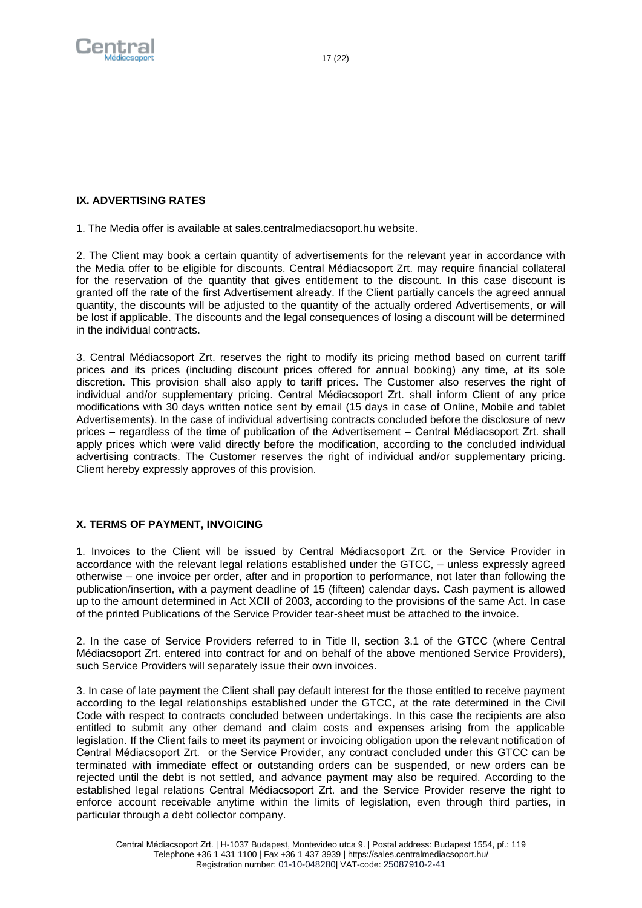<span id="page-16-0"></span>

# **IX. ADVERTISING RATES**

1. The Media offer is available at sales.centralmediacsoport.hu website.

2. The Client may book a certain quantity of advertisements for the relevant year in accordance with the Media offer to be eligible for discounts. Central Médiacsoport Zrt. may require financial collateral for the reservation of the quantity that gives entitlement to the discount. In this case discount is granted off the rate of the first Advertisement already. If the Client partially cancels the agreed annual quantity, the discounts will be adjusted to the quantity of the actually ordered Advertisements, or will be lost if applicable. The discounts and the legal consequences of losing a discount will be determined in the individual contracts.

3. Central Médiacsoport Zrt. reserves the right to modify its pricing method based on current tariff prices and its prices (including discount prices offered for annual booking) any time, at its sole discretion. This provision shall also apply to tariff prices. The Customer also reserves the right of individual and/or supplementary pricing. Central Médiacsoport Zrt. shall inform Client of any price modifications with 30 days written notice sent by email (15 days in case of Online, Mobile and tablet Advertisements). In the case of individual advertising contracts concluded before the disclosure of new prices – regardless of the time of publication of the Advertisement – Central Médiacsoport Zrt. shall apply prices which were valid directly before the modification, according to the concluded individual advertising contracts. The Customer reserves the right of individual and/or supplementary pricing. Client hereby expressly approves of this provision.

# <span id="page-16-1"></span>**X. TERMS OF PAYMENT, INVOICING**

1. Invoices to the Client will be issued by Central Médiacsoport Zrt. or the Service Provider in accordance with the relevant legal relations established under the GTCC, – unless expressly agreed otherwise – one invoice per order, after and in proportion to performance, not later than following the publication/insertion, with a payment deadline of 15 (fifteen) calendar days. Cash payment is allowed up to the amount determined in Act XCII of 2003, according to the provisions of the same Act. In case of the printed Publications of the Service Provider tear-sheet must be attached to the invoice.

2. In the case of Service Providers referred to in Title II, section 3.1 of the GTCC (where Central Médiacsoport Zrt. entered into contract for and on behalf of the above mentioned Service Providers), such Service Providers will separately issue their own invoices.

3. In case of late payment the Client shall pay default interest for the those entitled to receive payment according to the legal relationships established under the GTCC, at the rate determined in the Civil Code with respect to contracts concluded between undertakings. In this case the recipients are also entitled to submit any other demand and claim costs and expenses arising from the applicable legislation. If the Client fails to meet its payment or invoicing obligation upon the relevant notification of Central Médiacsoport Zrt. or the Service Provider, any contract concluded under this GTCC can be terminated with immediate effect or outstanding orders can be suspended, or new orders can be rejected until the debt is not settled, and advance payment may also be required. According to the established legal relations Central Médiacsoport Zrt. and the Service Provider reserve the right to enforce account receivable anytime within the limits of legislation, even through third parties, in particular through a debt collector company.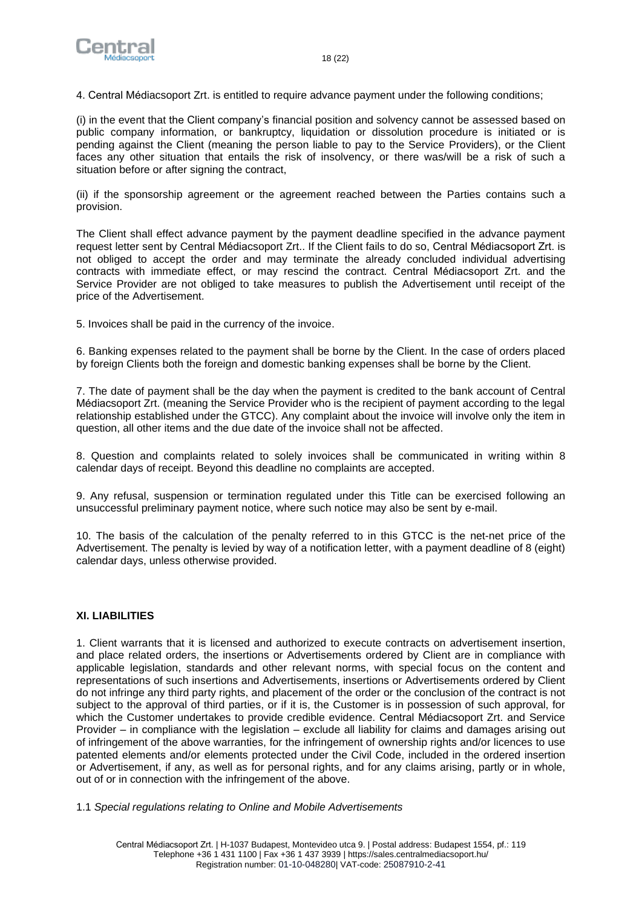

4. Central Médiacsoport Zrt. is entitled to require advance payment under the following conditions;

(i) in the event that the Client company's financial position and solvency cannot be assessed based on public company information, or bankruptcy, liquidation or dissolution procedure is initiated or is pending against the Client (meaning the person liable to pay to the Service Providers), or the Client faces any other situation that entails the risk of insolvency, or there was/will be a risk of such a situation before or after signing the contract.

(ii) if the sponsorship agreement or the agreement reached between the Parties contains such a provision.

The Client shall effect advance payment by the payment deadline specified in the advance payment request letter sent by Central Médiacsoport Zrt.. If the Client fails to do so, Central Médiacsoport Zrt. is not obliged to accept the order and may terminate the already concluded individual advertising contracts with immediate effect, or may rescind the contract. Central Médiacsoport Zrt. and the Service Provider are not obliged to take measures to publish the Advertisement until receipt of the price of the Advertisement.

5. Invoices shall be paid in the currency of the invoice.

6. Banking expenses related to the payment shall be borne by the Client. In the case of orders placed by foreign Clients both the foreign and domestic banking expenses shall be borne by the Client.

7. The date of payment shall be the day when the payment is credited to the bank account of Central Médiacsoport Zrt. (meaning the Service Provider who is the recipient of payment according to the legal relationship established under the GTCC). Any complaint about the invoice will involve only the item in question, all other items and the due date of the invoice shall not be affected.

8. Question and complaints related to solely invoices shall be communicated in writing within 8 calendar days of receipt. Beyond this deadline no complaints are accepted.

9. Any refusal, suspension or termination regulated under this Title can be exercised following an unsuccessful preliminary payment notice, where such notice may also be sent by e-mail.

10. The basis of the calculation of the penalty referred to in this GTCC is the net-net price of the Advertisement. The penalty is levied by way of a notification letter, with a payment deadline of 8 (eight) calendar days, unless otherwise provided.

# <span id="page-17-0"></span>**XI. LIABILITIES**

1. Client warrants that it is licensed and authorized to execute contracts on advertisement insertion, and place related orders, the insertions or Advertisements ordered by Client are in compliance with applicable legislation, standards and other relevant norms, with special focus on the content and representations of such insertions and Advertisements, insertions or Advertisements ordered by Client do not infringe any third party rights, and placement of the order or the conclusion of the contract is not subject to the approval of third parties, or if it is, the Customer is in possession of such approval, for which the Customer undertakes to provide credible evidence. Central Médiacsoport Zrt. and Service Provider – in compliance with the legislation – exclude all liability for claims and damages arising out of infringement of the above warranties, for the infringement of ownership rights and/or licences to use patented elements and/or elements protected under the Civil Code, included in the ordered insertion or Advertisement, if any, as well as for personal rights, and for any claims arising, partly or in whole, out of or in connection with the infringement of the above.

1.1 *Special regulations relating to Online and Mobile Advertisements*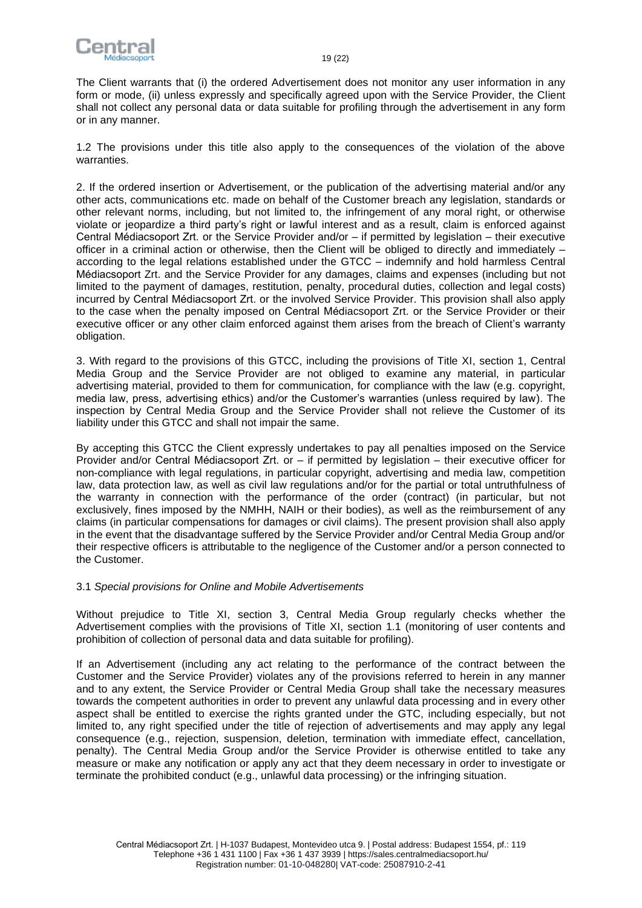

The Client warrants that (i) the ordered Advertisement does not monitor any user information in any form or mode, (ii) unless expressly and specifically agreed upon with the Service Provider, the Client shall not collect any personal data or data suitable for profiling through the advertisement in any form or in any manner.

1.2 The provisions under this title also apply to the consequences of the violation of the above warranties.

2. If the ordered insertion or Advertisement, or the publication of the advertising material and/or any other acts, communications etc. made on behalf of the Customer breach any legislation, standards or other relevant norms, including, but not limited to, the infringement of any moral right, or otherwise violate or jeopardize a third party's right or lawful interest and as a result, claim is enforced against Central Médiacsoport Zrt. or the Service Provider and/or – if permitted by legislation – their executive officer in a criminal action or otherwise, then the Client will be obliged to directly and immediately – according to the legal relations established under the GTCC – indemnify and hold harmless Central Médiacsoport Zrt. and the Service Provider for any damages, claims and expenses (including but not limited to the payment of damages, restitution, penalty, procedural duties, collection and legal costs) incurred by Central Médiacsoport Zrt. or the involved Service Provider. This provision shall also apply to the case when the penalty imposed on Central Médiacsoport Zrt. or the Service Provider or their executive officer or any other claim enforced against them arises from the breach of Client's warranty obligation.

3. With regard to the provisions of this GTCC, including the provisions of Title XI, section 1, Central Media Group and the Service Provider are not obliged to examine any material, in particular advertising material, provided to them for communication, for compliance with the law (e.g. copyright, media law, press, advertising ethics) and/or the Customer's warranties (unless required by law). The inspection by Central Media Group and the Service Provider shall not relieve the Customer of its liability under this GTCC and shall not impair the same.

By accepting this GTCC the Client expressly undertakes to pay all penalties imposed on the Service Provider and/or Central Médiacsoport Zrt. or – if permitted by legislation – their executive officer for non-compliance with legal regulations, in particular copyright, advertising and media law, competition law, data protection law, as well as civil law regulations and/or for the partial or total untruthfulness of the warranty in connection with the performance of the order (contract) (in particular, but not exclusively, fines imposed by the NMHH, NAIH or their bodies), as well as the reimbursement of any claims (in particular compensations for damages or civil claims). The present provision shall also apply in the event that the disadvantage suffered by the Service Provider and/or Central Media Group and/or their respective officers is attributable to the negligence of the Customer and/or a person connected to the Customer.

#### 3.1 *Special provisions for Online and Mobile Advertisements*

Without prejudice to Title XI, section 3, Central Media Group regularly checks whether the Advertisement complies with the provisions of Title XI, section 1.1 (monitoring of user contents and prohibition of collection of personal data and data suitable for profiling).

If an Advertisement (including any act relating to the performance of the contract between the Customer and the Service Provider) violates any of the provisions referred to herein in any manner and to any extent, the Service Provider or Central Media Group shall take the necessary measures towards the competent authorities in order to prevent any unlawful data processing and in every other aspect shall be entitled to exercise the rights granted under the GTC, including especially, but not limited to, any right specified under the title of rejection of advertisements and may apply any legal consequence (e.g., rejection, suspension, deletion, termination with immediate effect, cancellation, penalty). The Central Media Group and/or the Service Provider is otherwise entitled to take any measure or make any notification or apply any act that they deem necessary in order to investigate or terminate the prohibited conduct (e.g., unlawful data processing) or the infringing situation.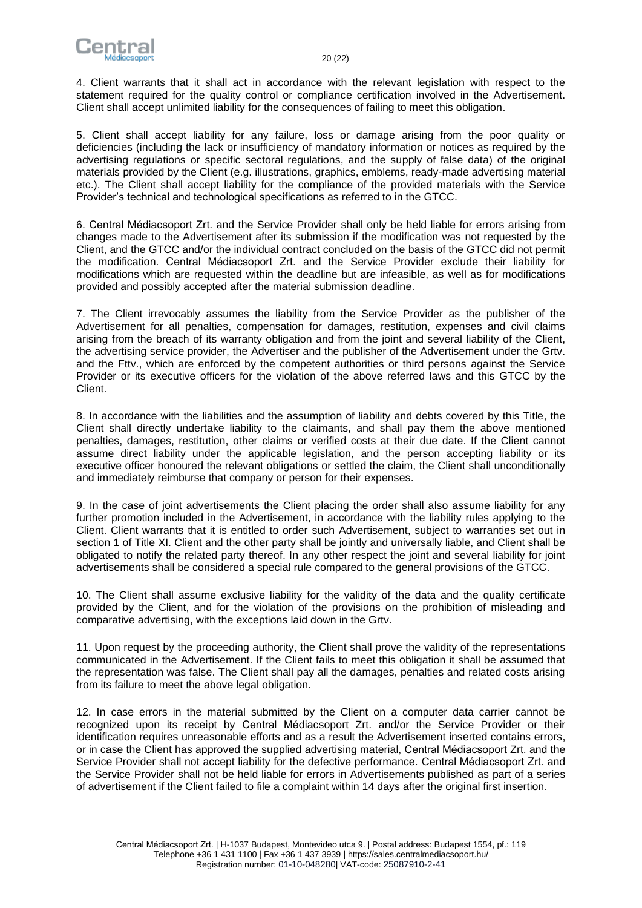

4. Client warrants that it shall act in accordance with the relevant legislation with respect to the statement required for the quality control or compliance certification involved in the Advertisement. Client shall accept unlimited liability for the consequences of failing to meet this obligation.

5. Client shall accept liability for any failure, loss or damage arising from the poor quality or deficiencies (including the lack or insufficiency of mandatory information or notices as required by the advertising regulations or specific sectoral regulations, and the supply of false data) of the original materials provided by the Client (e.g. illustrations, graphics, emblems, ready-made advertising material etc.). The Client shall accept liability for the compliance of the provided materials with the Service Provider's technical and technological specifications as referred to in the GTCC.

6. Central Médiacsoport Zrt. and the Service Provider shall only be held liable for errors arising from changes made to the Advertisement after its submission if the modification was not requested by the Client, and the GTCC and/or the individual contract concluded on the basis of the GTCC did not permit the modification. Central Médiacsoport Zrt. and the Service Provider exclude their liability for modifications which are requested within the deadline but are infeasible, as well as for modifications provided and possibly accepted after the material submission deadline.

7. The Client irrevocably assumes the liability from the Service Provider as the publisher of the Advertisement for all penalties, compensation for damages, restitution, expenses and civil claims arising from the breach of its warranty obligation and from the joint and several liability of the Client, the advertising service provider, the Advertiser and the publisher of the Advertisement under the Grtv. and the Fttv., which are enforced by the competent authorities or third persons against the Service Provider or its executive officers for the violation of the above referred laws and this GTCC by the Client.

8. In accordance with the liabilities and the assumption of liability and debts covered by this Title, the Client shall directly undertake liability to the claimants, and shall pay them the above mentioned penalties, damages, restitution, other claims or verified costs at their due date. If the Client cannot assume direct liability under the applicable legislation, and the person accepting liability or its executive officer honoured the relevant obligations or settled the claim, the Client shall unconditionally and immediately reimburse that company or person for their expenses.

9. In the case of joint advertisements the Client placing the order shall also assume liability for any further promotion included in the Advertisement, in accordance with the liability rules applying to the Client. Client warrants that it is entitled to order such Advertisement, subject to warranties set out in section 1 of Title XI. Client and the other party shall be jointly and universally liable, and Client shall be obligated to notify the related party thereof. In any other respect the joint and several liability for joint advertisements shall be considered a special rule compared to the general provisions of the GTCC.

10. The Client shall assume exclusive liability for the validity of the data and the quality certificate provided by the Client, and for the violation of the provisions on the prohibition of misleading and comparative advertising, with the exceptions laid down in the Grtv.

11. Upon request by the proceeding authority, the Client shall prove the validity of the representations communicated in the Advertisement. If the Client fails to meet this obligation it shall be assumed that the representation was false. The Client shall pay all the damages, penalties and related costs arising from its failure to meet the above legal obligation.

12. In case errors in the material submitted by the Client on a computer data carrier cannot be recognized upon its receipt by Central Médiacsoport Zrt. and/or the Service Provider or their identification requires unreasonable efforts and as a result the Advertisement inserted contains errors, or in case the Client has approved the supplied advertising material, Central Médiacsoport Zrt. and the Service Provider shall not accept liability for the defective performance. Central Médiacsoport Zrt. and the Service Provider shall not be held liable for errors in Advertisements published as part of a series of advertisement if the Client failed to file a complaint within 14 days after the original first insertion.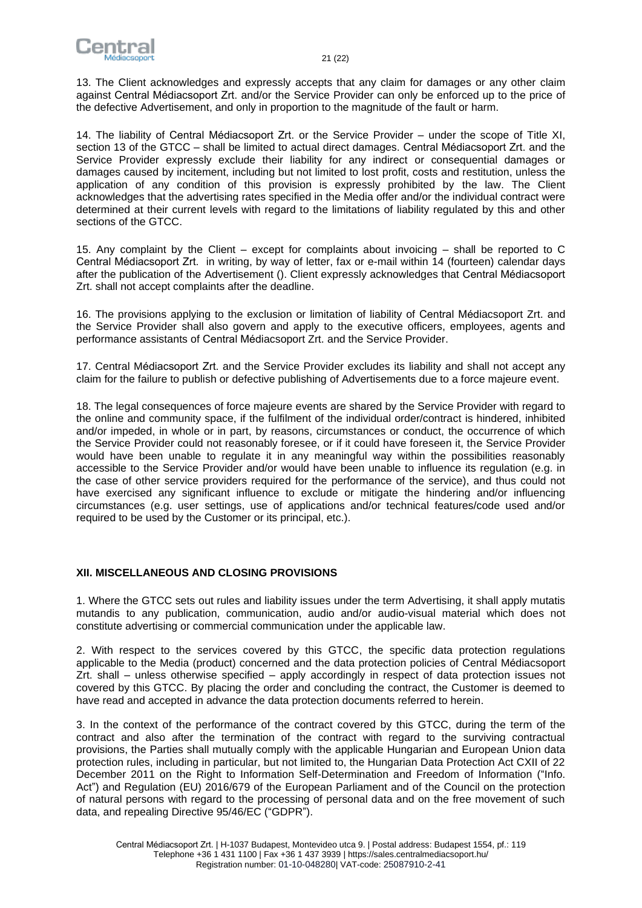

13. The Client acknowledges and expressly accepts that any claim for damages or any other claim against Central Médiacsoport Zrt. and/or the Service Provider can only be enforced up to the price of the defective Advertisement, and only in proportion to the magnitude of the fault or harm.

14. The liability of Central Médiacsoport Zrt. or the Service Provider – under the scope of Title XI, section 13 of the GTCC – shall be limited to actual direct damages. Central Médiacsoport Zrt. and the Service Provider expressly exclude their liability for any indirect or consequential damages or damages caused by incitement, including but not limited to lost profit, costs and restitution, unless the application of any condition of this provision is expressly prohibited by the law. The Client acknowledges that the advertising rates specified in the Media offer and/or the individual contract were determined at their current levels with regard to the limitations of liability regulated by this and other sections of the GTCC.

15. Any complaint by the Client – except for complaints about invoicing – shall be reported to C Central Médiacsoport Zrt. in writing, by way of letter, fax or e-mail within 14 (fourteen) calendar days after the publication of the Advertisement (). Client expressly acknowledges that Central Médiacsoport Zrt. shall not accept complaints after the deadline.

16. The provisions applying to the exclusion or limitation of liability of Central Médiacsoport Zrt. and the Service Provider shall also govern and apply to the executive officers, employees, agents and performance assistants of Central Médiacsoport Zrt. and the Service Provider.

17. Central Médiacsoport Zrt. and the Service Provider excludes its liability and shall not accept any claim for the failure to publish or defective publishing of Advertisements due to a force majeure event.

18. The legal consequences of force majeure events are shared by the Service Provider with regard to the online and community space, if the fulfilment of the individual order/contract is hindered, inhibited and/or impeded, in whole or in part, by reasons, circumstances or conduct, the occurrence of which the Service Provider could not reasonably foresee, or if it could have foreseen it, the Service Provider would have been unable to regulate it in any meaningful way within the possibilities reasonably accessible to the Service Provider and/or would have been unable to influence its regulation (e.g. in the case of other service providers required for the performance of the service), and thus could not have exercised any significant influence to exclude or mitigate the hindering and/or influencing circumstances (e.g. user settings, use of applications and/or technical features/code used and/or required to be used by the Customer or its principal, etc.).

# <span id="page-20-0"></span>**XII. MISCELLANEOUS AND CLOSING PROVISIONS**

1. Where the GTCC sets out rules and liability issues under the term Advertising, it shall apply mutatis mutandis to any publication, communication, audio and/or audio-visual material which does not constitute advertising or commercial communication under the applicable law.

2. With respect to the services covered by this GTCC, the specific data protection regulations applicable to the Media (product) concerned and the data protection policies of Central Médiacsoport Zrt. shall – unless otherwise specified – apply accordingly in respect of data protection issues not covered by this GTCC. By placing the order and concluding the contract, the Customer is deemed to have read and accepted in advance the data protection documents referred to herein.

3. In the context of the performance of the contract covered by this GTCC, during the term of the contract and also after the termination of the contract with regard to the surviving contractual provisions, the Parties shall mutually comply with the applicable Hungarian and European Union data protection rules, including in particular, but not limited to, the Hungarian Data Protection Act CXII of 22 December 2011 on the Right to Information Self-Determination and Freedom of Information ("Info. Act") and Regulation (EU) 2016/679 of the European Parliament and of the Council on the protection of natural persons with regard to the processing of personal data and on the free movement of such data, and repealing Directive 95/46/EC ("GDPR").